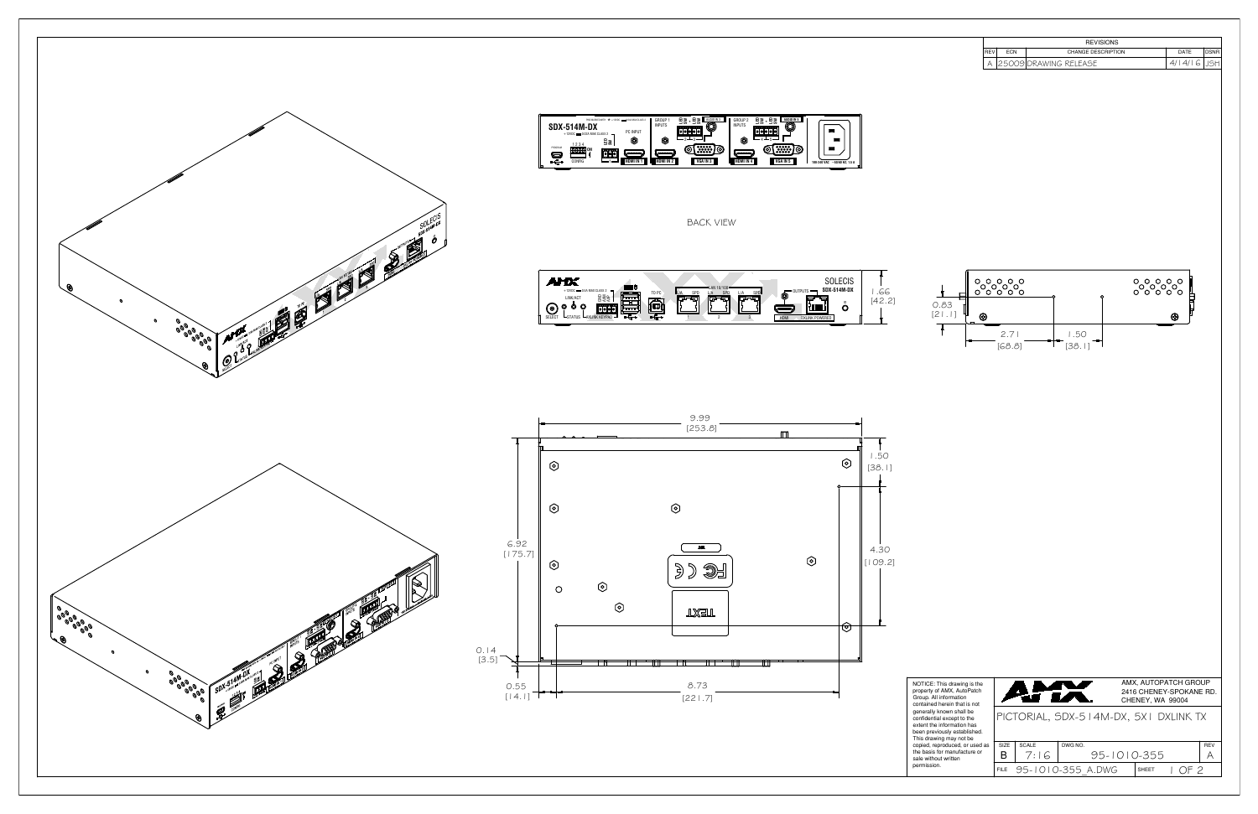





|                     | <b>REVISIONS</b>                                         |                                              |
|---------------------|----------------------------------------------------------|----------------------------------------------|
| <b>REV</b><br>А     | CHANGE DESCRIPTION<br>ECN<br>25009 DRAWING RELEASE       | DATE<br><b>DSNR</b><br>4/14/16<br><b>JSH</b> |
| 0.83<br>[21.1]<br>⊛ | <mark>ႏွ</mark> ိႏွိ<br>2.71<br>1.50<br>[38.1]<br>[68.8] | ိွိႏွိွိ<br>⊛                                |
|                     |                                                          |                                              |